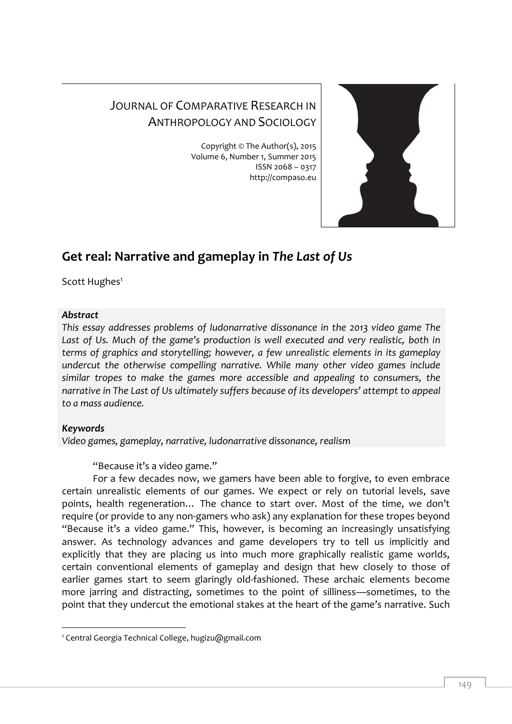## JOURNAL OF COMPARATIVE RESEARCH IN ANTHROPOLOGY AND SOCIOLOGY

Copyright © The Author(s), 2015 Volume 6, Number 1, Summer 2015 ISSN 2068 – 0317 http://compaso.eu



## **Get real: Narrative and gameplay in** *The Last of Us*

Scott Hughes<sup>1</sup>

## *Abstract*

*This essay addresses problems of ludonarrative dissonance in the 2013 video game The*  Last of Us. Much of the game's production is well executed and very realistic, both in *terms of graphics and storytelling; however, a few unrealistic elements in its gameplay undercut the otherwise compelling narrative. While many other video games include similar tropes to make the games more accessible and appealing to consumers, the narrative in The Last of Us ultimately suffers because of its developers' attempt to appeal to a mass audience.*

## *Keywords*

-

*Video games, gameplay, narrative, ludonarrative dissonance, realism*

"Because it's a video game."

For a few decades now, we gamers have been able to forgive, to even embrace certain unrealistic elements of our games. We expect or rely on tutorial levels, save points, health regeneration… The chance to start over. Most of the time, we don't require (or provide to any non-gamers who ask) any explanation for these tropes beyond "Because it's a video game." This, however, is becoming an increasingly unsatisfying answer. As technology advances and game developers try to tell us implicitly and explicitly that they are placing us into much more graphically realistic game worlds, certain conventional elements of gameplay and design that hew closely to those of earlier games start to seem glaringly old-fashioned. These archaic elements become more jarring and distracting, sometimes to the point of silliness—sometimes, to the point that they undercut the emotional stakes at the heart of the game's narrative. Such

<sup>1</sup> Central Georgia Technical College, hugizu@gmail.com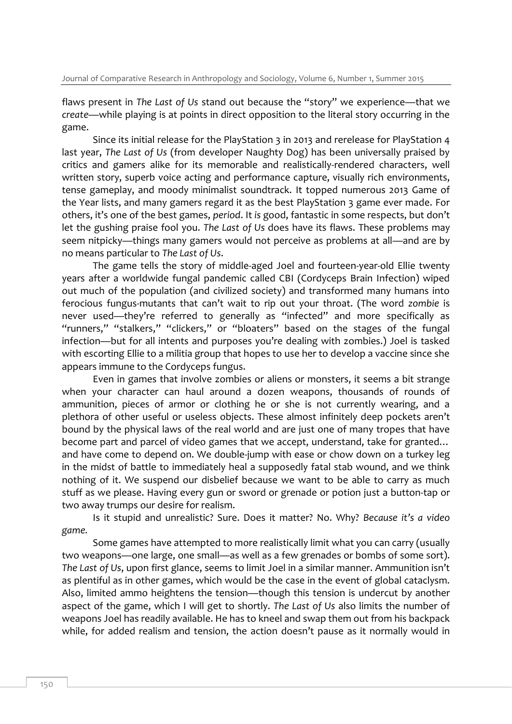flaws present in *The Last of Us* stand out because the "story" we experience—that we *create*—while playing is at points in direct opposition to the literal story occurring in the game.

Since its initial release for the PlayStation 3 in 2013 and rerelease for PlayStation 4 last year, *The Last of Us* (from developer Naughty Dog) has been universally praised by critics and gamers alike for its memorable and realistically-rendered characters, well written story, superb voice acting and performance capture, visually rich environments, tense gameplay, and moody minimalist soundtrack. It topped numerous 2013 Game of the Year lists, and many gamers regard it as the best PlayStation 3 game ever made. For others, it's one of the best games, *period*. It *is* good, fantastic in some respects, but don't let the gushing praise fool you. *The Last of Us* does have its flaws. These problems may seem nitpicky—things many gamers would not perceive as problems at all—and are by no means particular to *The Last of Us*.

The game tells the story of middle-aged Joel and fourteen-year-old Ellie twenty years after a worldwide fungal pandemic called CBI (Cordyceps Brain Infection) wiped out much of the population (and civilized society) and transformed many humans into ferocious fungus-mutants that can't wait to rip out your throat. (The word *zombie* is never used—they're referred to generally as "infected" and more specifically as "runners," "stalkers," "clickers," or "bloaters" based on the stages of the fungal infection—but for all intents and purposes you're dealing with zombies.) Joel is tasked with escorting Ellie to a militia group that hopes to use her to develop a vaccine since she appears immune to the Cordyceps fungus.

Even in games that involve zombies or aliens or monsters, it seems a bit strange when your character can haul around a dozen weapons, thousands of rounds of ammunition, pieces of armor or clothing he or she is not currently wearing, and a plethora of other useful or useless objects. These almost infinitely deep pockets aren't bound by the physical laws of the real world and are just one of many tropes that have become part and parcel of video games that we accept, understand, take for granted… and have come to depend on. We double-jump with ease or chow down on a turkey leg in the midst of battle to immediately heal a supposedly fatal stab wound, and we think nothing of it. We suspend our disbelief because we want to be able to carry as much stuff as we please. Having every gun or sword or grenade or potion just a button-tap or two away trumps our desire for realism.

Is it stupid and unrealistic? Sure. Does it matter? No. Why? *Because it's a video game.*

Some games have attempted to more realistically limit what you can carry (usually two weapons—one large, one small—as well as a few grenades or bombs of some sort). *The Last of Us*, upon first glance, seems to limit Joel in a similar manner. Ammunition isn't as plentiful as in other games, which would be the case in the event of global cataclysm. Also, limited ammo heightens the tension—though this tension is undercut by another aspect of the game, which I will get to shortly. *The Last of Us* also limits the number of weapons Joel has readily available. He has to kneel and swap them out from his backpack while, for added realism and tension, the action doesn't pause as it normally would in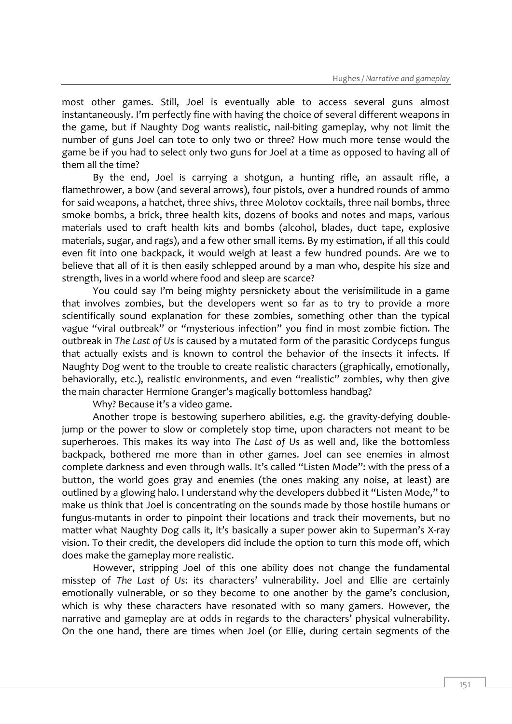most other games. Still, Joel is eventually able to access several guns almost instantaneously. I'm perfectly fine with having the choice of several different weapons in the game, but if Naughty Dog wants realistic, nail-biting gameplay, why not limit the number of guns Joel can tote to only two or three? How much more tense would the game be if you had to select only two guns for Joel at a time as opposed to having all of them all the time?

By the end, Joel is carrying a shotgun, a hunting rifle, an assault rifle, a flamethrower, a bow (and several arrows), four pistols, over a hundred rounds of ammo for said weapons, a hatchet, three shivs, three Molotov cocktails, three nail bombs, three smoke bombs, a brick, three health kits, dozens of books and notes and maps, various materials used to craft health kits and bombs (alcohol, blades, duct tape, explosive materials, sugar, and rags), and a few other small items. By my estimation, if all this could even fit into one backpack, it would weigh at least a few hundred pounds. Are we to believe that all of it is then easily schlepped around by a man who, despite his size and strength, lives in a world where food and sleep are scarce?

You could say I'm being mighty persnickety about the verisimilitude in a game that involves zombies, but the developers went so far as to try to provide a more scientifically sound explanation for these zombies, something other than the typical vague "viral outbreak" or "mysterious infection" you find in most zombie fiction. The outbreak in *The Last of Us* is caused by a mutated form of the parasitic Cordyceps fungus that actually exists and is known to control the behavior of the insects it infects. If Naughty Dog went to the trouble to create realistic characters (graphically, emotionally, behaviorally, etc.), realistic environments, and even "realistic" zombies, why then give the main character Hermione Granger's magically bottomless handbag?

Why? Because it's a video game.

Another trope is bestowing superhero abilities, e.g. the gravity-defying doublejump or the power to slow or completely stop time, upon characters not meant to be superheroes. This makes its way into *The Last of Us* as well and, like the bottomless backpack, bothered me more than in other games. Joel can see enemies in almost complete darkness and even through walls. It's called "Listen Mode": with the press of a button, the world goes gray and enemies (the ones making any noise, at least) are outlined by a glowing halo. I understand why the developers dubbed it "Listen Mode," to make us think that Joel is concentrating on the sounds made by those hostile humans or fungus-mutants in order to pinpoint their locations and track their movements, but no matter what Naughty Dog calls it, it's basically a super power akin to Superman's X-ray vision. To their credit, the developers did include the option to turn this mode off, which does make the gameplay more realistic.

However, stripping Joel of this one ability does not change the fundamental misstep of *The Last of Us*: its characters' vulnerability. Joel and Ellie are certainly emotionally vulnerable, or so they become to one another by the game's conclusion, which is why these characters have resonated with so many gamers. However, the narrative and gameplay are at odds in regards to the characters' physical vulnerability. On the one hand, there are times when Joel (or Ellie, during certain segments of the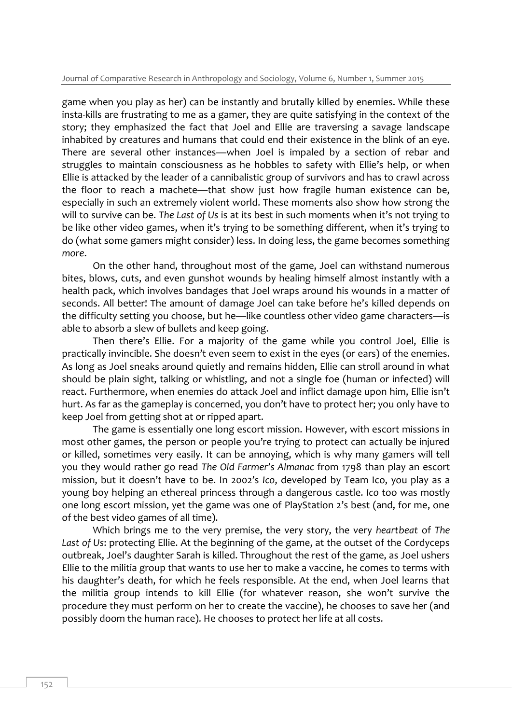game when you play as her) can be instantly and brutally killed by enemies. While these insta-kills are frustrating to me as a gamer, they are quite satisfying in the context of the story; they emphasized the fact that Joel and Ellie are traversing a savage landscape inhabited by creatures and humans that could end their existence in the blink of an eye. There are several other instances—when Joel is impaled by a section of rebar and struggles to maintain consciousness as he hobbles to safety with Ellie's help, or when Ellie is attacked by the leader of a cannibalistic group of survivors and has to crawl across the floor to reach a machete—that show just how fragile human existence can be, especially in such an extremely violent world. These moments also show how strong the will to survive can be. *The Last of Us* is at its best in such moments when it's not trying to be like other video games, when it's trying to be something different, when it's trying to do (what some gamers might consider) less. In doing less, the game becomes something *more*.

On the other hand, throughout most of the game, Joel can withstand numerous bites, blows, cuts, and even gunshot wounds by healing himself almost instantly with a health pack, which involves bandages that Joel wraps around his wounds in a matter of seconds. All better! The amount of damage Joel can take before he's killed depends on the difficulty setting you choose, but he—like countless other video game characters—is able to absorb a slew of bullets and keep going.

Then there's Ellie. For a majority of the game while you control Joel, Ellie is practically invincible. She doesn't even seem to exist in the eyes (or ears) of the enemies. As long as Joel sneaks around quietly and remains hidden, Ellie can stroll around in what should be plain sight, talking or whistling, and not a single foe (human or infected) will react. Furthermore, when enemies do attack Joel and inflict damage upon him, Ellie isn't hurt. As far as the gameplay is concerned, you don't have to protect her; you only have to keep Joel from getting shot at or ripped apart.

The game is essentially one long escort mission. However, with escort missions in most other games, the person or people you're trying to protect can actually be injured or killed, sometimes very easily. It can be annoying, which is why many gamers will tell you they would rather go read *The Old Farmer's Almanac* from 1798 than play an escort mission, but it doesn't have to be. In 2002's *Ico*, developed by Team Ico, you play as a young boy helping an ethereal princess through a dangerous castle. *Ico* too was mostly one long escort mission, yet the game was one of PlayStation 2's best (and, for me, one of the best video games of all time).

Which brings me to the very premise, the very story, the very *heartbeat* of *The Last of Us*: protecting Ellie. At the beginning of the game, at the outset of the Cordyceps outbreak, Joel's daughter Sarah is killed. Throughout the rest of the game, as Joel ushers Ellie to the militia group that wants to use her to make a vaccine, he comes to terms with his daughter's death, for which he feels responsible. At the end, when Joel learns that the militia group intends to kill Ellie (for whatever reason, she won't survive the procedure they must perform on her to create the vaccine), he chooses to save her (and possibly doom the human race). He chooses to protect her life at all costs.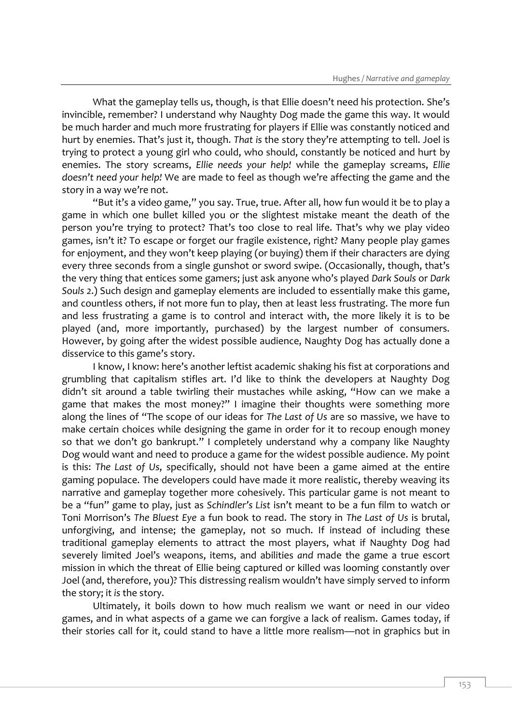What the gameplay tells us, though, is that Ellie doesn't need his protection. She's invincible, remember? I understand why Naughty Dog made the game this way. It would be much harder and much more frustrating for players if Ellie was constantly noticed and hurt by enemies. That's just it, though. *That is* the story they're attempting to tell. Joel is trying to protect a young girl who could, who should, constantly be noticed and hurt by enemies. The story screams, *Ellie needs your help!* while the gameplay screams, *Ellie doesn't need your help!* We are made to feel as though we're affecting the game and the story in a way we're not.

"But it's a video game," you say. True, true. After all, how fun would it be to play a game in which one bullet killed you or the slightest mistake meant the death of the person you're trying to protect? That's too close to real life. That's why we play video games, isn't it? To escape or forget our fragile existence, right? Many people play games for enjoyment, and they won't keep playing (or buying) them if their characters are dying every three seconds from a single gunshot or sword swipe. (Occasionally, though, that's the very thing that entices some gamers; just ask anyone who's played *Dark Souls* or *Dark Souls 2*.) Such design and gameplay elements are included to essentially make this game, and countless others, if not more fun to play, then at least less frustrating. The more fun and less frustrating a game is to control and interact with, the more likely it is to be played (and, more importantly, purchased) by the largest number of consumers. However, by going after the widest possible audience, Naughty Dog has actually done a disservice to this game's story.

I know, I know: here's another leftist academic shaking his fist at corporations and grumbling that capitalism stifles art. I'd like to think the developers at Naughty Dog didn't sit around a table twirling their mustaches while asking, "How can we make a game that makes the most money?" I imagine their thoughts were something more along the lines of "The scope of our ideas for *The Last of Us* are so massive, we have to make certain choices while designing the game in order for it to recoup enough money so that we don't go bankrupt." I completely understand why a company like Naughty Dog would want and need to produce a game for the widest possible audience. My point is this: *The Last of Us*, specifically, should not have been a game aimed at the entire gaming populace. The developers could have made it more realistic, thereby weaving its narrative and gameplay together more cohesively. This particular game is not meant to be a "fun" game to play, just as *Schindler's List* isn't meant to be a fun film to watch or Toni Morrison's *The Bluest Eye* a fun book to read. The story in *The Last of Us* is brutal, unforgiving, and intense; the gameplay, not so much. If instead of including these traditional gameplay elements to attract the most players, what if Naughty Dog had severely limited Joel's weapons, items, and abilities *and* made the game a true escort mission in which the threat of Ellie being captured or killed was looming constantly over Joel (and, therefore, you)? This distressing realism wouldn't have simply served to inform the story; it *is* the story.

Ultimately, it boils down to how much realism we want or need in our video games, and in what aspects of a game we can forgive a lack of realism. Games today, if their stories call for it, could stand to have a little more realism—not in graphics but in